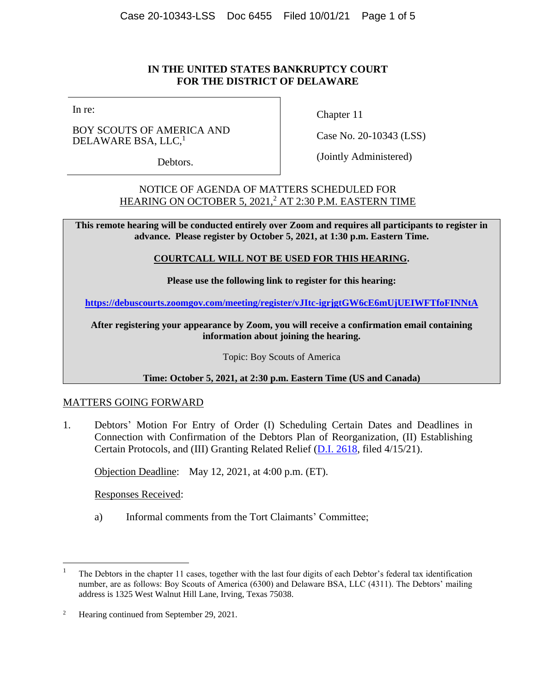# **IN THE UNITED STATES BANKRUPTCY COURT FOR THE DISTRICT OF DELAWARE**

In re:

BOY SCOUTS OF AMERICA AND DELAWARE BSA, LLC,<sup>1</sup>

Debtors.

Chapter 11

Case No. 20-10343 (LSS)

(Jointly Administered)

NOTICE OF AGENDA OF MATTERS SCHEDULED FOR HEARING ON OCTOBER 5, 2021, <sup>2</sup> AT 2:30 P.M. EASTERN TIME

**This remote hearing will be conducted entirely over Zoom and requires all participants to register in advance. Please register by October 5, 2021, at 1:30 p.m. Eastern Time.** 

### **COURTCALL WILL NOT BE USED FOR THIS HEARING.**

**Please use the following link to register for this hearing:**

**<https://debuscourts.zoomgov.com/meeting/register/vJItc-igrjgtGW6cE6mUjUEIWFTfoFINNtA>**

**After registering your appearance by Zoom, you will receive a confirmation email containing information about joining the hearing.**

Topic: Boy Scouts of America

**Time: October 5, 2021, at 2:30 p.m. Eastern Time (US and Canada)**

# MATTERS GOING FORWARD

1. Debtors' Motion For Entry of Order (I) Scheduling Certain Dates and Deadlines in Connection with Confirmation of the Debtors Plan of Reorganization, (II) Establishing Certain Protocols, and (III) Granting Related Relief [\(D.I. 2618,](https://ecf.deb.uscourts.gov/doc1/042019736007) filed 4/15/21).

Objection Deadline: May 12, 2021, at 4:00 p.m. (ET).

Responses Received:

a) Informal comments from the Tort Claimants' Committee;

<sup>&</sup>lt;sup>1</sup> The Debtors in the chapter 11 cases, together with the last four digits of each Debtor's federal tax identification number, are as follows: Boy Scouts of America (6300) and Delaware BSA, LLC (4311). The Debtors' mailing address is 1325 West Walnut Hill Lane, Irving, Texas 75038.

<sup>&</sup>lt;sup>2</sup> Hearing continued from September 29, 2021.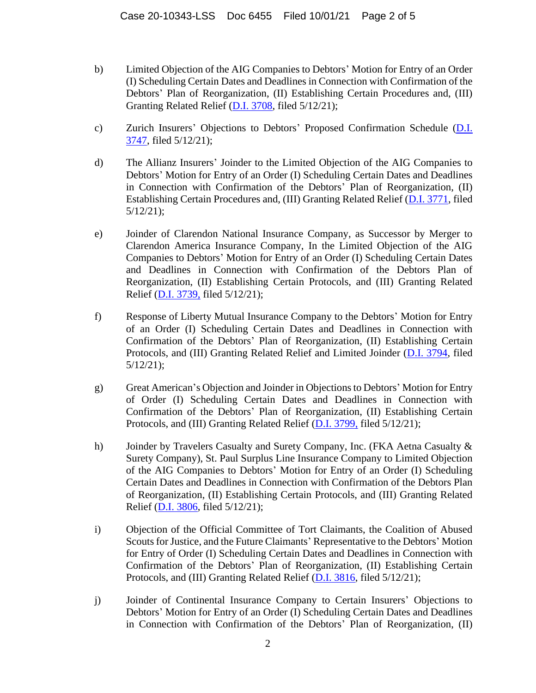- b) Limited Objection of the AIG Companies to Debtors' Motion for Entry of an Order (I) Scheduling Certain Dates and Deadlines in Connection with Confirmation of the Debtors' Plan of Reorganization, (II) Establishing Certain Procedures and, (III) Granting Related Relief [\(D.I. 3708,](https://ecf.deb.uscourts.gov/doc1/042019788703) filed 5/12/21);
- c) Zurich Insurers' Objections to Debtors' Proposed Confirmation Schedule [\(D.I.](https://ecf.deb.uscourts.gov/doc1/042019788882)  [3747,](https://ecf.deb.uscourts.gov/doc1/042019788882) filed 5/12/21);
- d) The Allianz Insurers' Joinder to the Limited Objection of the AIG Companies to Debtors' Motion for Entry of an Order (I) Scheduling Certain Dates and Deadlines in Connection with Confirmation of the Debtors' Plan of Reorganization, (II) Establishing Certain Procedures and, (III) Granting Related Relief [\(D.I. 3771,](https://ecf.deb.uscourts.gov/doc1/042019788998) filed 5/12/21);
- e) Joinder of Clarendon National Insurance Company, as Successor by Merger to Clarendon America Insurance Company, In the Limited Objection of the AIG Companies to Debtors' Motion for Entry of an Order (I) Scheduling Certain Dates and Deadlines in Connection with Confirmation of the Debtors Plan of Reorganization, (II) Establishing Certain Protocols, and (III) Granting Related Relief [\(D.I. 3739,](https://ecf.deb.uscourts.gov/doc1/042019788835) filed 5/12/21);
- f) Response of Liberty Mutual Insurance Company to the Debtors' Motion for Entry of an Order (I) Scheduling Certain Dates and Deadlines in Connection with Confirmation of the Debtors' Plan of Reorganization, (II) Establishing Certain Protocols, and (III) Granting Related Relief and Limited Joinder [\(D.I. 3794,](https://ecf.deb.uscourts.gov/doc1/042019789167) filed 5/12/21);
- g) Great American's Objection and Joinder in Objections to Debtors' Motion for Entry of Order (I) Scheduling Certain Dates and Deadlines in Connection with Confirmation of the Debtors' Plan of Reorganization, (II) Establishing Certain Protocols, and (III) Granting Related Relief [\(D.I. 3799,](https://ecf.deb.uscourts.gov/doc1/042019789186) filed 5/12/21);
- h) Joinder by Travelers Casualty and Surety Company, Inc. (FKA Aetna Casualty & Surety Company), St. Paul Surplus Line Insurance Company to Limited Objection of the AIG Companies to Debtors' Motion for Entry of an Order (I) Scheduling Certain Dates and Deadlines in Connection with Confirmation of the Debtors Plan of Reorganization, (II) Establishing Certain Protocols, and (III) Granting Related Relief [\(D.I. 3806,](https://ecf.deb.uscourts.gov/doc1/042019789224) filed 5/12/21);
- i) Objection of the Official Committee of Tort Claimants, the Coalition of Abused Scouts for Justice, and the Future Claimants' Representative to the Debtors' Motion for Entry of Order (I) Scheduling Certain Dates and Deadlines in Connection with Confirmation of the Debtors' Plan of Reorganization, (II) Establishing Certain Protocols, and (III) Granting Related Relief [\(D.I. 3816,](https://ecf.deb.uscourts.gov/doc1/042019789290) filed 5/12/21);
- j) Joinder of Continental Insurance Company to Certain Insurers' Objections to Debtors' Motion for Entry of an Order (I) Scheduling Certain Dates and Deadlines in Connection with Confirmation of the Debtors' Plan of Reorganization, (II)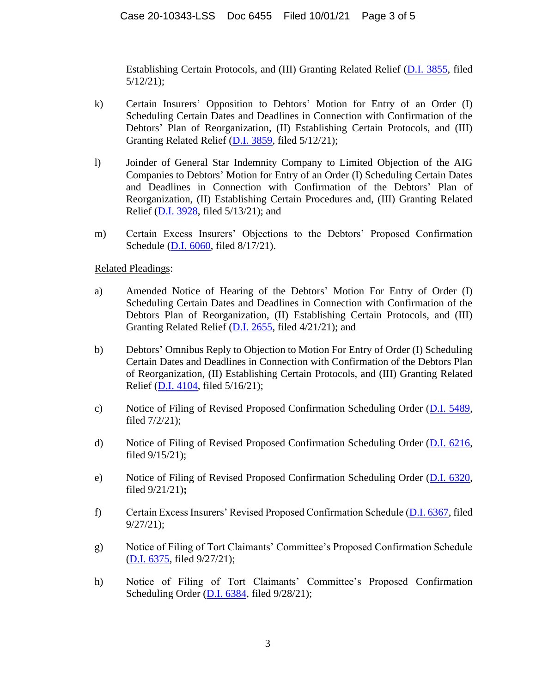Establishing Certain Protocols, and (III) Granting Related Relief [\(D.I. 3855,](https://ecf.deb.uscourts.gov/doc1/042019790002) filed 5/12/21);

- k) Certain Insurers' Opposition to Debtors' Motion for Entry of an Order (I) Scheduling Certain Dates and Deadlines in Connection with Confirmation of the Debtors' Plan of Reorganization, (II) Establishing Certain Protocols, and (III) Granting Related Relief [\(D.I. 3859,](https://ecf.deb.uscourts.gov/doc1/042019790094) filed 5/12/21);
- l) Joinder of General Star Indemnity Company to Limited Objection of the AIG Companies to Debtors' Motion for Entry of an Order (I) Scheduling Certain Dates and Deadlines in Connection with Confirmation of the Debtors' Plan of Reorganization, (II) Establishing Certain Procedures and, (III) Granting Related Relief [\(D.I. 3928,](https://ecf.deb.uscourts.gov/doc1/042019792164) filed 5/13/21); and
- m) Certain Excess Insurers' Objections to the Debtors' Proposed Confirmation Schedule [\(D.I. 6060,](https://ecf.deb.uscourts.gov/doc1/042119966662) filed 8/17/21).

Related Pleadings:

- a) Amended Notice of Hearing of the Debtors' Motion For Entry of Order (I) Scheduling Certain Dates and Deadlines in Connection with Confirmation of the Debtors Plan of Reorganization, (II) Establishing Certain Protocols, and (III) Granting Related Relief [\(D.I. 2655,](https://ecf.deb.uscourts.gov/doc1/042019745487) filed 4/21/21); and
- b) Debtors' Omnibus Reply to Objection to Motion For Entry of Order (I) Scheduling Certain Dates and Deadlines in Connection with Confirmation of the Debtors Plan of Reorganization, (II) Establishing Certain Protocols, and (III) Granting Related Relief [\(D.I. 4104,](https://ecf.deb.uscourts.gov/doc1/042019796818) filed 5/16/21);
- c) Notice of Filing of Revised Proposed Confirmation Scheduling Order [\(D.I. 5489,](https://ecf.deb.uscourts.gov/doc1/042019885382) filed 7/2/21);
- d) Notice of Filing of Revised Proposed Confirmation Scheduling Order [\(D.I. 6216,](https://ecf.deb.uscourts.gov/doc1/042020022583) filed 9/15/21);
- e) Notice of Filing of Revised Proposed Confirmation Scheduling Order [\(D.I. 6320,](https://ecf.deb.uscourts.gov/doc1/042020033618) filed 9/21/21)**;**
- f) Certain Excess Insurers' Revised Proposed Confirmation Schedule [\(D.I. 6367,](https://ecf.deb.uscourts.gov/doc1/042020044756) filed 9/27/21);
- g) Notice of Filing of Tort Claimants' Committee's Proposed Confirmation Schedule [\(D.I. 6375,](https://ecf.deb.uscourts.gov/doc1/042020045457) filed 9/27/21);
- h) Notice of Filing of Tort Claimants' Committee's Proposed Confirmation Scheduling Order [\(D.I. 6384,](https://ecf.deb.uscourts.gov/doc1/042020045622) filed 9/28/21);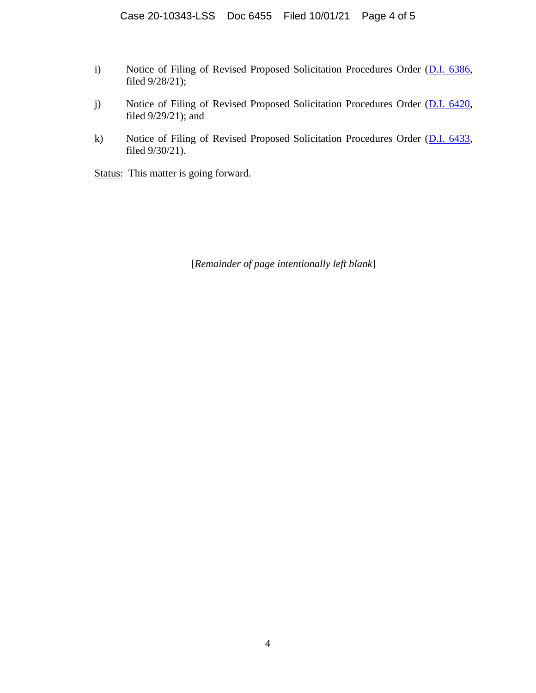- i) Notice of Filing of Revised Proposed Solicitation Procedures Order (D.I. [6386,](https://ecf.deb.uscourts.gov/doc1/042020045703) filed 9/28/21);
- j) Notice of Filing of Revised Proposed Solicitation Procedures Order [\(D.I. 6420,](https://ecf.deb.uscourts.gov/doc1/042020051313) filed 9/29/21); and
- k) Notice of Filing of Revised Proposed Solicitation Procedures Order [\(D.I. 6433,](https://ecf.deb.uscourts.gov/doc1/042020054359) filed 9/30/21).

Status: This matter is going forward.

[*Remainder of page intentionally left blank*]